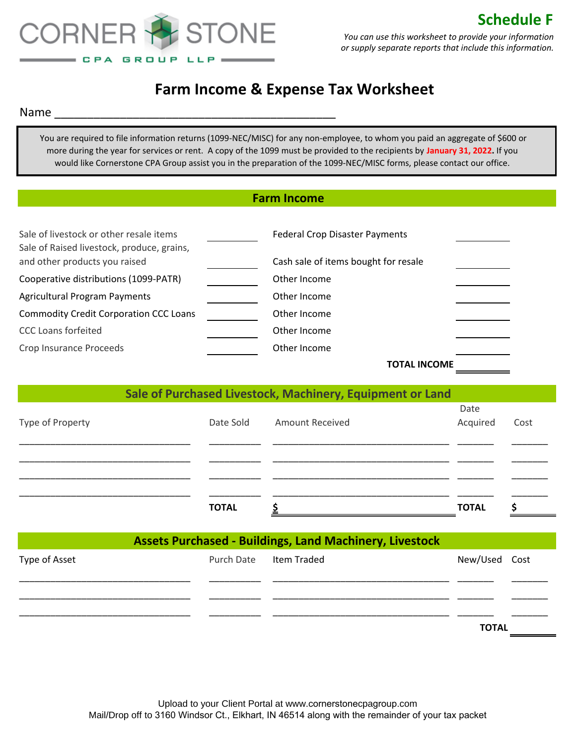

## **Farm Income & Expense Tax Worksheet**

Name \_\_\_\_\_\_\_\_\_\_\_\_\_\_\_\_\_\_\_\_\_\_\_\_\_\_\_\_\_\_\_\_\_\_\_\_\_\_\_\_\_\_\_

 You are required to file information returns (1099-NEC/MISC) for any non-employee, to whom you paid an aggregate of \$600 or more during the year for services or rent. A copy of the 1099 must be provided to the recipients by **January 31, 2022.** If you would like Cornerstone CPA Group assist you in the preparation of the 1099-NEC/MISC forms, please contact our office.

|                                                                                       |                   | <b>Farm Income</b>                                             |              |      |
|---------------------------------------------------------------------------------------|-------------------|----------------------------------------------------------------|--------------|------|
| Sale of livestock or other resale items<br>Sale of Raised livestock, produce, grains, |                   | <b>Federal Crop Disaster Payments</b>                          |              |      |
| and other products you raised                                                         |                   | Cash sale of items bought for resale                           |              |      |
| Cooperative distributions (1099-PATR)                                                 |                   | Other Income                                                   |              |      |
| <b>Agricultural Program Payments</b>                                                  |                   | Other Income                                                   |              |      |
| <b>Commodity Credit Corporation CCC Loans</b>                                         |                   | Other Income                                                   |              |      |
| <b>CCC Loans forfeited</b>                                                            |                   | Other Income                                                   |              |      |
| Crop Insurance Proceeds                                                               |                   | Other Income                                                   |              |      |
|                                                                                       |                   | <b>TOTAL INCOME</b>                                            |              |      |
|                                                                                       |                   | Sale of Purchased Livestock, Machinery, Equipment or Land      | Date         |      |
| Type of Property                                                                      | Date Sold         | <b>Amount Received</b>                                         | Acquired     | Cost |
|                                                                                       | <b>TOTAL</b>      | \$                                                             | <b>TOTAL</b> | \$   |
|                                                                                       |                   | <b>Assets Purchased - Buildings, Land Machinery, Livestock</b> |              |      |
| Type of Asset                                                                         | <b>Purch Date</b> | <b>Item Traded</b>                                             | New/Used     | Cost |
|                                                                                       |                   |                                                                |              |      |
|                                                                                       |                   |                                                                | <b>TOTAL</b> |      |